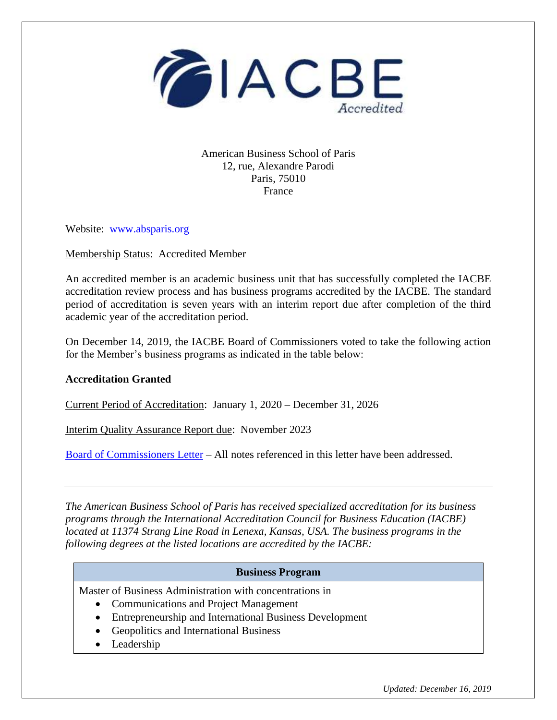

American Business School of Paris 12, rue, Alexandre Parodi Paris, 75010 France

Website: [www.absparis.org](http://www.absparis.org/)

Membership Status: Accredited Member

An accredited member is an academic business unit that has successfully completed the IACBE accreditation review process and has business programs accredited by the IACBE. The standard period of accreditation is seven years with an interim report due after completion of the third academic year of the accreditation period.

On December 14, 2019, the IACBE Board of Commissioners voted to take the following action for the Member's business programs as indicated in the table below:

## **Accreditation Granted**

Current Period of Accreditation: January 1, 2020 – December 31, 2026

Interim Quality Assurance Report due: November 2023

[Board of Commissioners Letter](https://iacbe.org/memberpdf/BOCDecisionLetterABSParisDec2019final.pdf) – All notes referenced in this letter have been addressed.

*The American Business School of Paris has received specialized accreditation for its business programs through the International Accreditation Council for Business Education (IACBE) located at 11374 Strang Line Road in Lenexa, Kansas, USA. The business programs in the following degrees at the listed locations are accredited by the IACBE:*

## **Business Program**

Master of Business Administration with concentrations in

- Communications and Project Management
- Entrepreneurship and International Business Development
- Geopolitics and International Business
- Leadership